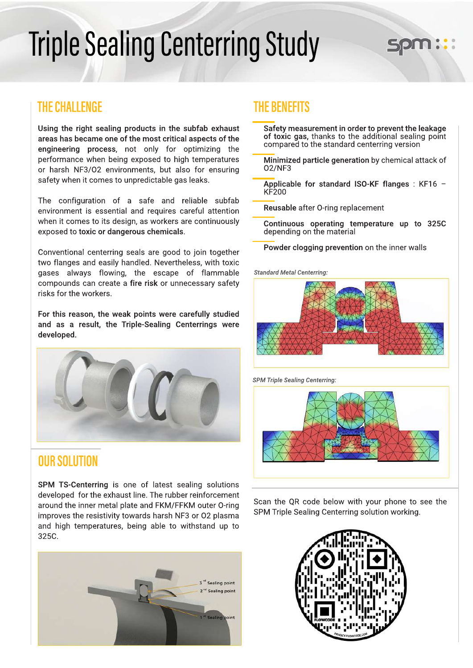# **Triple Sealing Centerring Study**

### **THECHALLENGE THEBENEFITS**

Using the right sealing products in the subfab exhaust areas has became one of the most critical aspects of the engineering process, not only for optimizing the performance when being exposed to high temperatures or harsh NF3/O2 environments, but also for ensuring safety when it comes to unpredictable gas leaks.

The configuration of a safe and reliable subfab environment is essential and requires careful attention when it comes to its design, as workers are continuously exposed to toxic or dangerous chemicals.

Conventional centerring seals are good to join together two flanges and easily handled. Nevertheless, with toxic gases always flowing, the escape of flammable compounds can create a fire risk or unnecessary safety risks for the workers.

For this reason, the weak points were carefully studied and as a result, the Triple-Sealing Centerrings were developed.



### **OURSOLUTION**

SPM TS-Centerring is one of latest sealing solutions developed for the exhaust line. The rubber reinforcement around the inner metal plate and FKM/FFKM outer O-ring improves the resistivity towards harsh NF3 or O2 plasma and high temperatures, being able to withstand up to 325C.



- Safety measurement in order to prevent the leakage of toxic gas, thanks to the additional sealing point compared to the standard centerring version
- Minimized particle generation by chemical attack of O2/NF3
- Applicable for standard ISO-KF flanges: KF16 -KF200
- Reusable after O-ring replacement
- Continuous operating temperature up to 325C depending on the material
- Powder clogging prevention on the inner walls

**Standard Metal Centerring:** 



**SPM Triple Sealing Centerring:** 



Scan the QR code below with your phone to see the SPM Triple Sealing Centerring solution working.

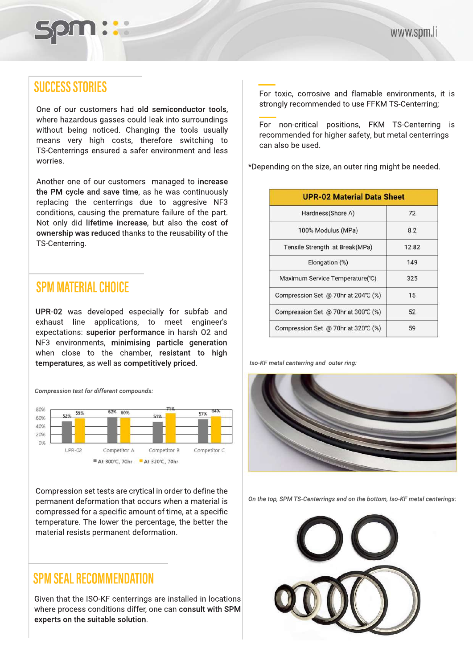

## **SUCCESS STORIES**

One of our customers had old semiconductor tools, where hazardous gasses could leak into surroundings without being noticed. Changing the tools usually means very high costs, therefore switching to TS-Centerrings ensured a safer environment and less worries.

Another one of our customers managed to increase the PM cycle and save time, as he was continuously replacing the centerrings due to aggresive NF3 conditions, causing the premature failure of the part. Not only did lifetime increase, but also the cost of ownership was reduced thanks to the reusability of the TS-Centerring.

### **SPM MATERIAL CHOICE**

UPR-02 was developed especially for subfab and exhaust line applications, to meet engineer's expectations: superior performance in harsh O2 and NF3 environments, minimising particle generation when close to the chamber, resistant to high temperatures, as well as competitively priced.

**Compression test for different compounds:** 



Compression set tests are crytical in order to define the permanent deformation that occurs when a material is compressed for a specific amount of time, at a specific temperature. The lower the percentage, the better the material resists permanent deformation.

### **SPMSEALRECOMMENDATION**

Given that the ISO-KF centerrings are installed in locations where process conditions differ, one can consult with SPM experts on the suitable solution.

For toxic, corrosive and flamable environments, it is strongly recommended to use FFKM TS-Centerring;

For non-critical positions, FKM TS-Centerring is recommended for higher safety, but metal centerrings can also be used.

\*Depending on the size, an outer ring might be needed.

| <b>UPR-02 Material Data Sheet</b>   |       |  |
|-------------------------------------|-------|--|
| Hardness(Shore A)                   | 72    |  |
| 100% Modulus (MPa)                  | 8.2   |  |
| Tensile Strength at Break(MPa)      | 12.82 |  |
| Elongation (%)                      | 149   |  |
| Maximum Service Temperature(°C)     | 325   |  |
| Compression Set @ 70hr at 204℃ (%)  | 15    |  |
| Compression Set @ 70hr at 300°C (%) | 52    |  |
| Compression Set @ 70hr at 320°C (%) | 59    |  |

*Iso-KF metal centerring and outer ring:* 



On the top, SPM TS-Centerrings and on the bottom, Iso-KF metal centerings: